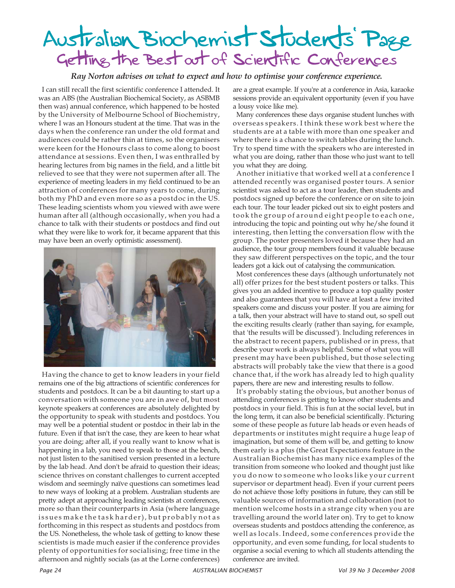## Getting the Best out of Scientific Conferences Australian Biochemist Students' Page

## *Ray Norton advises on what to expect and how to optimise your conference experience.*

I can still recall the first scientific conference I attended. It was an ABS (the Australian Biochemical Society, as ASBMB then was) annual conference, which happened to be hosted by the University of Melbourne School of Biochemistry, where I was an Honours student at the time. That was in the days when the conference ran under the old format and audiences could be rather thin at times, so the organisers were keen for the Honours class to come along to boost attendance at sessions. Even then, I was enthralled by hearing lectures from big names in the field, and a little bit relieved to see that they were not supermen after all. The experience of meeting leaders in my field continued to be an attraction of conferences for many years to come, during both my PhD and even more so as a postdoc in the US. These leading scientists whom you viewed with awe were human after all (although occasionally, when you had a chance to talk with their students or postdocs and find out what they were like to work for, it became apparent that this may have been an overly optimistic assessment).



Having the chance to get to know leaders in your field remains one of the big attractions of scientific conferences for students and postdocs. It can be a bit daunting to start up a conversation with someone you are in awe of, but most keynote speakers at conferences are absolutely delighted by the opportunity to speak with students and postdocs. You may well be a potential student or postdoc in their lab in the future. Even if that isn't the case, they are keen to hear what you are doing; after all, if you really want to know what is happening in a lab, you need to speak to those at the bench, not just listen to the sanitised version presented in a lecture by the lab head. And don't be afraid to question their ideas; science thrives on constant challenges to current accepted wisdom and seemingly naïve questions can sometimes lead to new ways of looking at a problem. Australian students are pretty adept at approaching leading scientists at conferences, more so than their counterparts in Asia (where language issues make the task harder), but probably not as forthcoming in this respect as students and postdocs from the US. Nonetheless, the whole task of getting to know these scientists is made much easier if the conference provides plenty of opportunities for socialising; free time in the afternoon and nightly socials (as at the Lorne conferences)

are a great example. If you're at a conference in Asia, karaoke sessions provide an equivalent opportunity (even if you have a lousy voice like me).

Many conferences these days organise student lunches with overseas speakers. I think these work best where the students are at a table with more than one speaker and where there is a chance to switch tables during the lunch. Try to spend time with the speakers who are interested in what you are doing, rather than those who just want to tell you what they are doing.

Another initiative that worked well at a conference I attended recently was organised poster tours. A senior scientist was asked to act as a tour leader, then students and postdocs signed up before the conference or on site to join each tour. The tour leader picked out six to eight posters and took the group of around eight people to each one, introducing the topic and pointing out why he/she found it interesting, then letting the conversation flow with the group. The poster presenters loved it because they had an audience, the tour group members found it valuable because they saw different perspectives on the topic, and the tour leaders got a kick out of catalysing the communication.

Most conferences these days (although unfortunately not all) offer prizes for the best student posters or talks. This gives you an added incentive to produce a top quality poster and also guarantees that you will have at least a few invited speakers come and discuss your poster. If you are aiming for a talk, then your abstract will have to stand out, so spell out the exciting results clearly (rather than saying, for example, that 'the results will be discussed'). Including references in the abstract to recent papers, published or in press, that describe your work is always helpful. Some of what you will present may have been published, but those selecting abstracts will probably take the view that there is a good chance that, if the work has already led to high quality papers, there are new and interesting results to follow.

It's probably stating the obvious, but another bonus of attending conferences is getting to know other students and postdocs in your field. This is fun at the social level, but in the long term, it can also be beneficial scientifically. Picturing some of these people as future lab heads or even heads of departments or institutes might require a huge leap of imagination, but some of them will be, and getting to know them early is a plus (the Great Expectations feature in the Australian Biochemist has many nice examples of the transition from someone who looked and thought just like you do now to someone who looks like your current supervisor or department head). Even if your current peers do not achieve those lofty positions in future, they can still be valuable sources of information and collaboration (not to mention welcome hosts in a strange city when you are travelling around the world later on). Try to get to know overseas students and postdocs attending the conference, as well as locals. Indeed, some conferences provide the opportunity, and even some funding, for local students to organise a social evening to which all students attending the conference are invited.